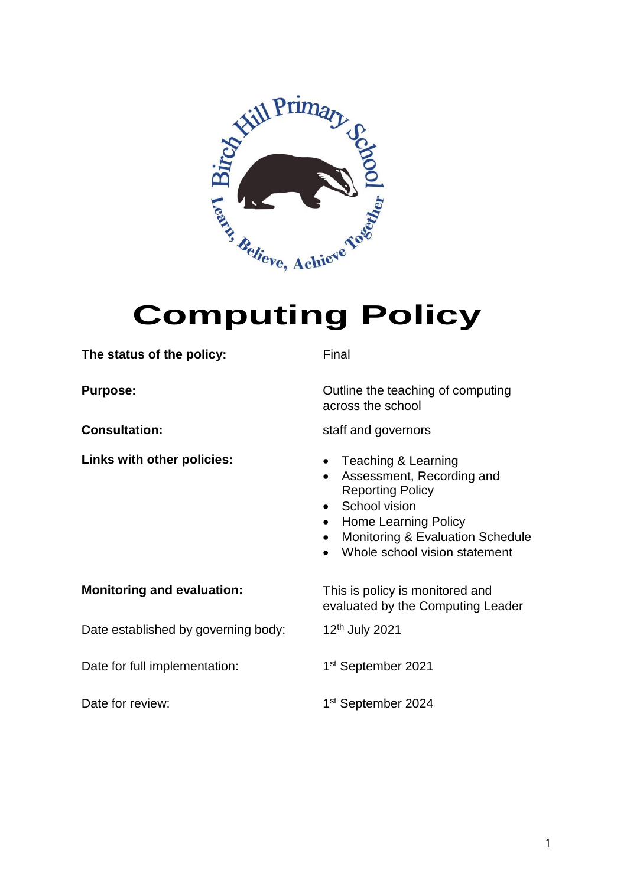

### **The status of the policy:** Final

**Links with other policies:** • Teaching & Learning

**Purpose:** Case Constanting Cutting the teaching of computing across the school

**Consultation:** Staff and governors

- 
- Assessment, Recording and Reporting Policy
- School vision
- Home Learning Policy
- Monitoring & Evaluation Schedule
- Whole school vision statement

**Monitoring and evaluation:** This is policy is monitored and evaluated by the Computing Leader

Date established by governing body: 12<sup>th</sup> July 2021

Date for full implementation:

Date for review:

1st September 2024

1st September 2021

1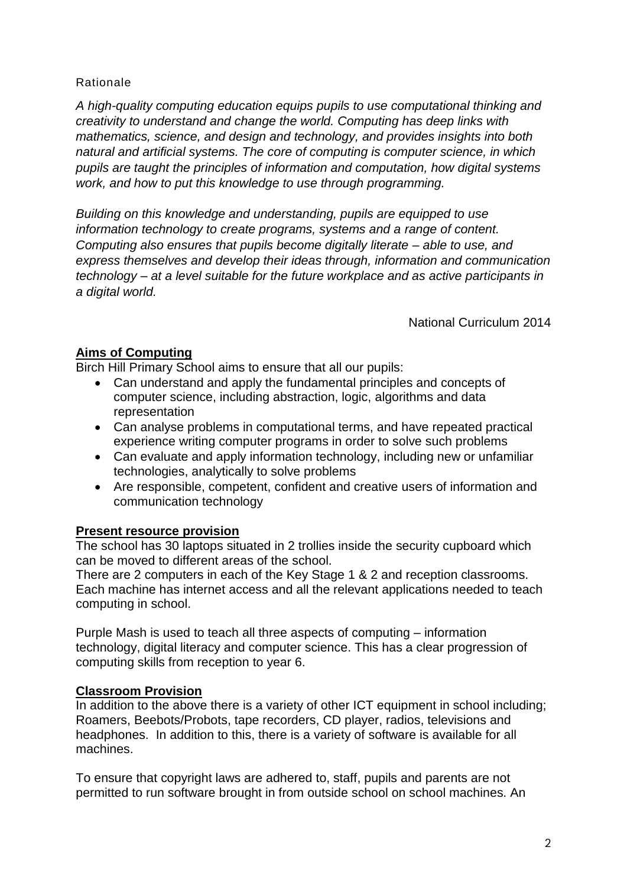Rationale

*A high-quality computing education equips pupils to use computational thinking and creativity to understand and change the world. Computing has deep links with mathematics, science, and design and technology, and provides insights into both natural and artificial systems. The core of computing is computer science, in which pupils are taught the principles of information and computation, how digital systems work, and how to put this knowledge to use through programming.*

*Building on this knowledge and understanding, pupils are equipped to use information technology to create programs, systems and a range of content. Computing also ensures that pupils become digitally literate – able to use, and express themselves and develop their ideas through, information and communication technology – at a level suitable for the future workplace and as active participants in a digital world.*

National Curriculum 2014

# **Aims of Computing**

Birch Hill Primary School aims to ensure that all our pupils:

- Can understand and apply the fundamental principles and concepts of computer science, including abstraction, logic, algorithms and data representation
- Can analyse problems in computational terms, and have repeated practical experience writing computer programs in order to solve such problems
- Can evaluate and apply information technology, including new or unfamiliar technologies, analytically to solve problems
- Are responsible, competent, confident and creative users of information and communication technology

# **Present resource provision**

The school has 30 laptops situated in 2 trollies inside the security cupboard which can be moved to different areas of the school.

There are 2 computers in each of the Key Stage 1 & 2 and reception classrooms. Each machine has internet access and all the relevant applications needed to teach computing in school.

Purple Mash is used to teach all three aspects of computing – information technology, digital literacy and computer science. This has a clear progression of computing skills from reception to year 6.

# **Classroom Provision**

In addition to the above there is a variety of other ICT equipment in school including; Roamers, Beebots/Probots, tape recorders, CD player, radios, televisions and headphones. In addition to this, there is a variety of software is available for all machines.

To ensure that copyright laws are adhered to, staff, pupils and parents are not permitted to run software brought in from outside school on school machines. An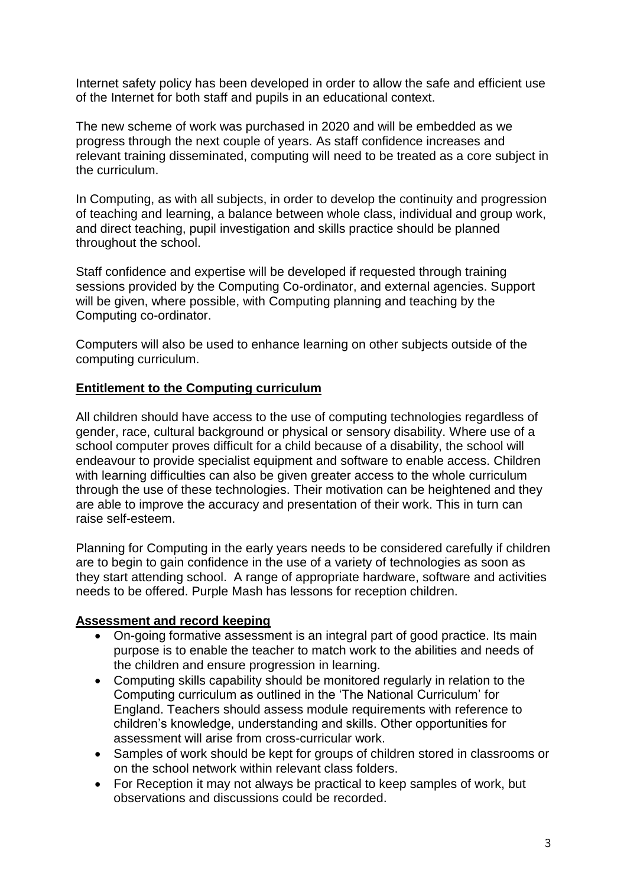Internet safety policy has been developed in order to allow the safe and efficient use of the Internet for both staff and pupils in an educational context.

The new scheme of work was purchased in 2020 and will be embedded as we progress through the next couple of years. As staff confidence increases and relevant training disseminated, computing will need to be treated as a core subject in the curriculum.

In Computing, as with all subjects, in order to develop the continuity and progression of teaching and learning, a balance between whole class, individual and group work, and direct teaching, pupil investigation and skills practice should be planned throughout the school.

Staff confidence and expertise will be developed if requested through training sessions provided by the Computing Co-ordinator, and external agencies. Support will be given, where possible, with Computing planning and teaching by the Computing co-ordinator.

Computers will also be used to enhance learning on other subjects outside of the computing curriculum.

#### **Entitlement to the Computing curriculum**

All children should have access to the use of computing technologies regardless of gender, race, cultural background or physical or sensory disability. Where use of a school computer proves difficult for a child because of a disability, the school will endeavour to provide specialist equipment and software to enable access. Children with learning difficulties can also be given greater access to the whole curriculum through the use of these technologies. Their motivation can be heightened and they are able to improve the accuracy and presentation of their work. This in turn can raise self-esteem.

Planning for Computing in the early years needs to be considered carefully if children are to begin to gain confidence in the use of a variety of technologies as soon as they start attending school. A range of appropriate hardware, software and activities needs to be offered. Purple Mash has lessons for reception children.

#### **Assessment and record keeping**

- On-going formative assessment is an integral part of good practice. Its main purpose is to enable the teacher to match work to the abilities and needs of the children and ensure progression in learning.
- Computing skills capability should be monitored regularly in relation to the Computing curriculum as outlined in the 'The National Curriculum' for England. Teachers should assess module requirements with reference to children's knowledge, understanding and skills. Other opportunities for assessment will arise from cross-curricular work.
- Samples of work should be kept for groups of children stored in classrooms or on the school network within relevant class folders.
- For Reception it may not always be practical to keep samples of work, but observations and discussions could be recorded.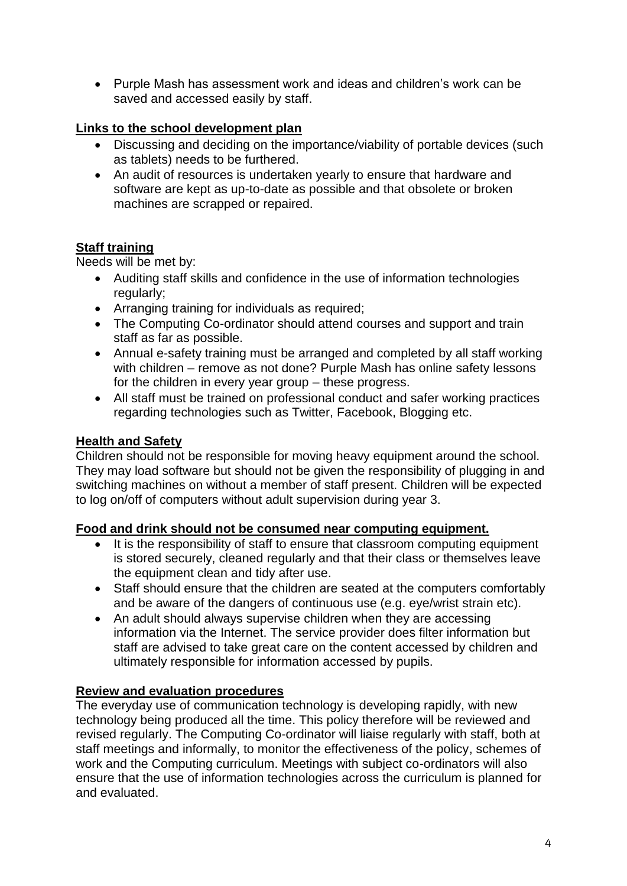Purple Mash has assessment work and ideas and children's work can be saved and accessed easily by staff.

# **Links to the school development plan**

- Discussing and deciding on the importance/viability of portable devices (such as tablets) needs to be furthered.
- An audit of resources is undertaken yearly to ensure that hardware and software are kept as up-to-date as possible and that obsolete or broken machines are scrapped or repaired.

# **Staff training**

Needs will be met by:

- Auditing staff skills and confidence in the use of information technologies regularly;
- Arranging training for individuals as required;
- The Computing Co-ordinator should attend courses and support and train staff as far as possible.
- Annual e-safety training must be arranged and completed by all staff working with children – remove as not done? Purple Mash has online safety lessons for the children in every year group – these progress.
- All staff must be trained on professional conduct and safer working practices regarding technologies such as Twitter, Facebook, Blogging etc.

# **Health and Safety**

Children should not be responsible for moving heavy equipment around the school. They may load software but should not be given the responsibility of plugging in and switching machines on without a member of staff present. Children will be expected to log on/off of computers without adult supervision during year 3.

# **Food and drink should not be consumed near computing equipment.**

- It is the responsibility of staff to ensure that classroom computing equipment is stored securely, cleaned regularly and that their class or themselves leave the equipment clean and tidy after use.
- Staff should ensure that the children are seated at the computers comfortably and be aware of the dangers of continuous use (e.g. eye/wrist strain etc).
- An adult should always supervise children when they are accessing information via the Internet. The service provider does filter information but staff are advised to take great care on the content accessed by children and ultimately responsible for information accessed by pupils.

# **Review and evaluation procedures**

The everyday use of communication technology is developing rapidly, with new technology being produced all the time. This policy therefore will be reviewed and revised regularly. The Computing Co-ordinator will liaise regularly with staff, both at staff meetings and informally, to monitor the effectiveness of the policy, schemes of work and the Computing curriculum. Meetings with subject co-ordinators will also ensure that the use of information technologies across the curriculum is planned for and evaluated.